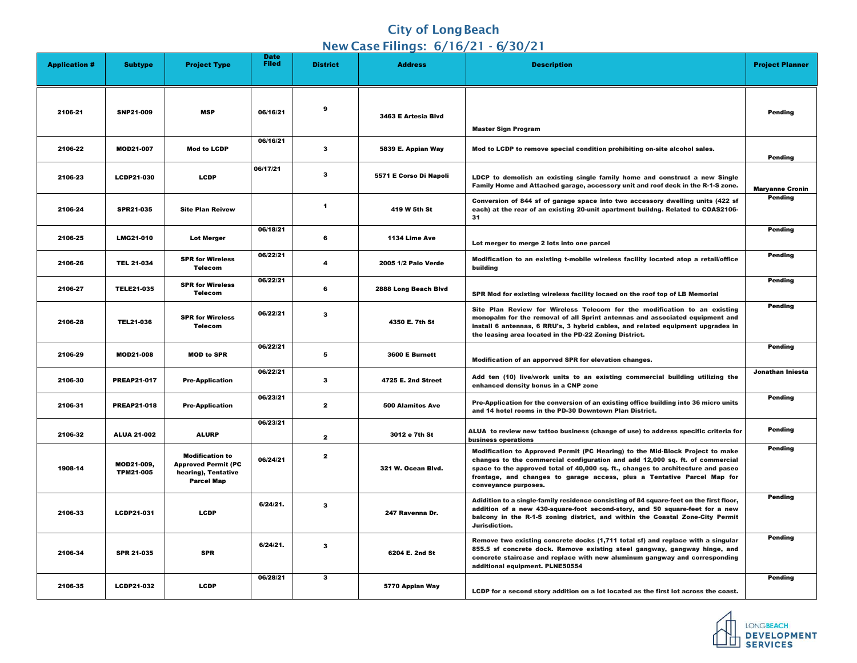## **City of Long Beach** New Case Filings: 6/16/21 - 6/30/21

|                      |                                |                                                                                                  |                             |                  | $\frac{1}{2}$ $\frac{1}{2}$ $\frac{1}{2}$ $\frac{1}{2}$ $\frac{1}{2}$ $\frac{1}{2}$ $\frac{1}{2}$ $\frac{1}{2}$ $\frac{1}{2}$ $\frac{1}{2}$ $\frac{1}{2}$ $\frac{1}{2}$ $\frac{1}{2}$ $\frac{1}{2}$ $\frac{1}{2}$ $\frac{1}{2}$ $\frac{1}{2}$ $\frac{1}{2}$ $\frac{1}{2}$ $\frac{1}{2}$ $\frac{1}{2}$ $\frac{1}{2}$ |                                                               |
|----------------------|--------------------------------|--------------------------------------------------------------------------------------------------|-----------------------------|------------------|---------------------------------------------------------------------------------------------------------------------------------------------------------------------------------------------------------------------------------------------------------------------------------------------------------------------|---------------------------------------------------------------|
| <b>Application #</b> | <b>Subtype</b>                 | <b>Project Type</b>                                                                              | <b>Date</b><br><b>Filed</b> | <b>District</b>  | <b>Address</b>                                                                                                                                                                                                                                                                                                      |                                                               |
| 2106-21              | <b>SNP21-009</b>               | <b>MSP</b>                                                                                       | 06/16/21                    | $\boldsymbol{9}$ | 3463 E Artesia Blvd                                                                                                                                                                                                                                                                                                 | <b>Master</b>                                                 |
| 2106-22              | <b>MOD21-007</b>               | <b>Mod to LCDP</b>                                                                               | 06/16/21                    | 3                | 5839 E. Appian Way                                                                                                                                                                                                                                                                                                  | Mod to                                                        |
| 2106-23              | <b>LCDP21-030</b>              | <b>LCDP</b>                                                                                      | 06/17/21                    | 3                | 5571 E Corso Di Napoli                                                                                                                                                                                                                                                                                              | <b>LDCP</b> to<br><b>Family I</b>                             |
| 2106-24              | <b>SPR21-035</b>               | <b>Site Plan Reivew</b>                                                                          |                             | 1                | 419 W 5th St                                                                                                                                                                                                                                                                                                        | <b>Convers</b><br>each) at<br>31                              |
| 2106-25              | <b>LMG21-010</b>               | <b>Lot Merger</b>                                                                                | 06/18/21                    | 6                | 1134 Lime Ave                                                                                                                                                                                                                                                                                                       | Lot mer                                                       |
| 2106-26              | <b>TEL 21-034</b>              | <b>SPR for Wireless</b><br><b>Telecom</b>                                                        | 06/22/21                    | 4                | 2005 1/2 Palo Verde                                                                                                                                                                                                                                                                                                 | <b>Modifica</b><br>building                                   |
| 2106-27              | <b>TELE21-035</b>              | <b>SPR for Wireless</b><br><b>Telecom</b>                                                        | 06/22/21                    | 6                | 2888 Long Beach Blvd                                                                                                                                                                                                                                                                                                | <b>SPR Mo</b>                                                 |
| 2106-28              | <b>TEL21-036</b>               | <b>SPR for Wireless</b><br><b>Telecom</b>                                                        | 06/22/21                    | 3                | 4350 E. 7th St                                                                                                                                                                                                                                                                                                      | <b>Site Pla</b><br>monopa<br>install 6<br>the leas            |
| 2106-29              | <b>MOD21-008</b>               | <b>MOD to SPR</b>                                                                                | 06/22/21                    | 5                | 3600 E Burnett                                                                                                                                                                                                                                                                                                      | <b>Modifica</b>                                               |
| 2106-30              | <b>PREAP21-017</b>             | <b>Pre-Application</b>                                                                           | 06/22/21                    | 3                | <b>4725 E. 2nd Street</b>                                                                                                                                                                                                                                                                                           | Add ter<br>enhance                                            |
| 2106-31              | <b>PREAP21-018</b>             | <b>Pre-Application</b>                                                                           | 06/23/21                    | $\mathbf{2}$     | <b>500 Alamitos Ave</b>                                                                                                                                                                                                                                                                                             | <b>Pre-App</b><br>and 14 I                                    |
| 2106-32              | <b>ALUA 21-002</b>             | <b>ALURP</b>                                                                                     | 06/23/21                    | $\mathbf{2}$     | 3012 e 7th St                                                                                                                                                                                                                                                                                                       | <b>ALUA to</b><br>business                                    |
| 1908-14              | MOD21-009,<br><b>TPM21-005</b> | <b>Modification to</b><br><b>Approved Permit (PC</b><br>hearing), Tentative<br><b>Parcel Map</b> | 06/24/21                    | $\mathbf{2}$     | 321 W. Ocean Blvd.                                                                                                                                                                                                                                                                                                  | <b>Modifica</b><br>changes<br>space to<br>frontage<br>conveya |
| 2106-33              | LCDP21-031                     | <b>LCDP</b>                                                                                      | 6/24/21.                    | 3                | 247 Ravenna Dr.                                                                                                                                                                                                                                                                                                     | <b>Adiditio</b><br>addition<br>balcony<br><b>Jurisdic</b>     |
| 2106-34              | <b>SPR 21-035</b>              | <b>SPR</b>                                                                                       | 6/24/21.                    | 3                | 6204 E. 2nd St                                                                                                                                                                                                                                                                                                      | <b>Remove</b><br>855.5 s<br>concret<br>addition               |
| 2106-35              | LCDP21-032                     | <b>LCDP</b>                                                                                      | 06/28/21                    | $\mathbf{3}$     | 5770 Appian Way                                                                                                                                                                                                                                                                                                     | <b>LCDP</b> fo                                                |

| <b>Date</b><br><b>Filed</b> | <b>District</b> | <b>Address</b>          | <b>Description</b>                                                                                                                                                                                                                                                                                                                                   | <b>Project Planner</b> |
|-----------------------------|-----------------|-------------------------|------------------------------------------------------------------------------------------------------------------------------------------------------------------------------------------------------------------------------------------------------------------------------------------------------------------------------------------------------|------------------------|
|                             |                 |                         |                                                                                                                                                                                                                                                                                                                                                      |                        |
| 6/16/21                     | 9               | 3463 E Artesia Blvd     | <b>Master Sign Program</b>                                                                                                                                                                                                                                                                                                                           | <b>Pending</b>         |
| 6/16/21                     |                 |                         |                                                                                                                                                                                                                                                                                                                                                      |                        |
|                             | $\mathbf{3}$    | 5839 E. Appian Way      | Mod to LCDP to remove special condition prohibiting on-site alcohol sales.                                                                                                                                                                                                                                                                           | <b>Pending</b>         |
| 17/21                       | $\mathbf{3}$    | 5571 E Corso Di Napoli  | LDCP to demolish an existing single family home and construct a new Single<br>Family Home and Attached garage, accessory unit and roof deck in the R-1-S zone.                                                                                                                                                                                       | <b>Maryanne Cronin</b> |
|                             | 1               | 419 W 5th St            | Conversion of 844 sf of garage space into two accessory dwelling units (422 sf<br>each) at the rear of an existing 20-unit apartment buildng. Related to COAS2106-<br>31                                                                                                                                                                             | <b>Pending</b>         |
| 6/18/21                     |                 |                         |                                                                                                                                                                                                                                                                                                                                                      | <b>Pending</b>         |
|                             | 6               | 1134 Lime Ave           | Lot merger to merge 2 lots into one parcel                                                                                                                                                                                                                                                                                                           |                        |
| 6/22/21                     | 4               | 2005 1/2 Palo Verde     | Modification to an existing t-mobile wireless facility located atop a retail/office<br>building                                                                                                                                                                                                                                                      | <b>Pending</b>         |
| 6/22/21                     |                 |                         |                                                                                                                                                                                                                                                                                                                                                      | <b>Pending</b>         |
|                             | 6               | 2888 Long Beach Blvd    | SPR Mod for existing wireless facility locaed on the roof top of LB Memorial                                                                                                                                                                                                                                                                         |                        |
| 6/22/21                     | 3               | 4350 E. 7th St          | Site Plan Review for Wireless Telecom for the modification to an existing<br>monopalm for the removal of all Sprint antennas and associated equipment and<br>install 6 antennas, 6 RRU's, 3 hybrid cables, and related equipment upgrades in<br>the leasing area located in the PD-22 Zoning District.                                               | <b>Pending</b>         |
| 6/22/21                     |                 |                         |                                                                                                                                                                                                                                                                                                                                                      | <b>Pending</b>         |
|                             | 5               | 3600 E Burnett          | <b>Modification of an apporved SPR for elevation changes.</b>                                                                                                                                                                                                                                                                                        |                        |
| 6/22/21                     | 3               | 4725 E. 2nd Street      | Add ten (10) live/work units to an existing commercial building utilizing the<br>enhanced density bonus in a CNP zone                                                                                                                                                                                                                                | Jonathan Iniesta       |
| 6/23/21                     | $\mathbf{2}$    | <b>500 Alamitos Ave</b> | Pre-Application for the conversion of an existing office building into 36 micro units<br>and 14 hotel rooms in the PD-30 Downtown Plan District.                                                                                                                                                                                                     | <b>Pending</b>         |
| 6/23/21                     | $\mathbf{2}$    | 3012 e 7th St           | ALUA to review new tattoo business (change of use) to address specific criteria for<br>business operations                                                                                                                                                                                                                                           | <b>Pending</b>         |
| 6/24/21                     | $\mathbf{2}$    | 321 W. Ocean Blvd.      | Modification to Approved Permit (PC Hearing) to the Mid-Block Project to make<br>changes to the commercial configuration and add 12,000 sq. ft. of commercial<br>space to the approved total of 40,000 sq. ft., changes to architecture and paseo<br>frontage, and changes to garage access, plus a Tentative Parcel Map for<br>conveyance purposes. | <b>Pending</b>         |
| /24/21.                     | 3               | 247 Ravenna Dr.         | Adidition to a single-family residence consisting of 84 square-feet on the first floor,<br>addition of a new 430-square-foot second-story, and 50 square-feet for a new<br>balcony in the R-1-S zoning district, and within the Coastal Zone-City Permit<br>Jurisdiction.                                                                            | <b>Pending</b>         |
| 24/21.                      | 3               | 6204 E. 2nd St          | Remove two existing concrete docks (1,711 total sf) and replace with a singular<br>855.5 sf concrete dock. Remove existing steel gangway, gangway hinge, and<br>concrete staircase and replace with new aluminum gangway and corresponding<br>additional equipment. PLNE50554                                                                        | <b>Pending</b>         |
| 6/28/21                     | $\mathbf{3}$    |                         |                                                                                                                                                                                                                                                                                                                                                      | <b>Pending</b>         |
|                             |                 | 5770 Appian Way         | LCDP for a second story addition on a lot located as the first lot across the coast.                                                                                                                                                                                                                                                                 |                        |